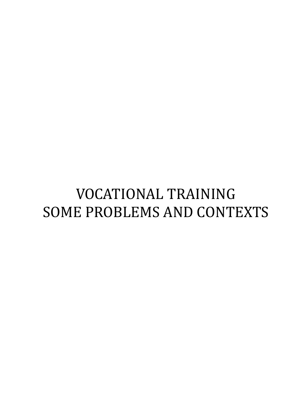# VOCATIONAL TRAINING SOME PROBLEMS AND CONTEXTS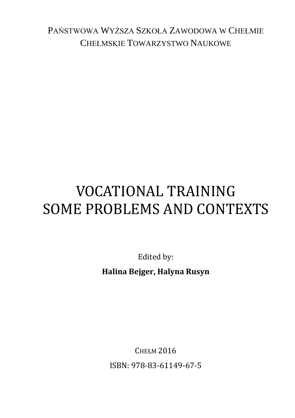PAŃSTWOWA WYŻSZA SZKOŁA ZAWODOWA W CHEŁMIE CHEŁMSKIE TOWARZYSTWO NAUKOWE

# VOCATIONAL TRAINING SOME PROBLEMS AND CONTEXTS

Edited by: **Halina Bejger, Halyna Rusyn**

CHEŁM 2016 ISBN: 978-83-61149-67-5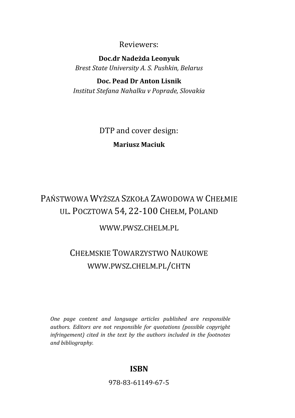### Reviewers:

**Doc.dr Nadeżda Leonyuk** *Brest State University A. S. Pushkin, Belarus*

#### **Doc. Pead Dr Anton Lisnik**

*Institut Stefana Nahalku v Poprade, Slovakia*

DTP and cover design: **Mariusz Maciuk**

## PAŃSTWOWA WYŻSZA SZKOŁA ZAWODOWA W CHEŁMIE UL. POCZTOWA 54, 22-100 CHEŁM, POLAND

WWW.PWSZ.CHELM.PL

## CHEŁMSKIE TOWARZYSTWO NAUKOWE WWW.PWSZ.CHELM.PL/CHTN

*One page content and language articles published are responsible authors. Editors are not responsible for quotations (possible copyright infringement) cited in the text by the authors included in the footnotes and bibliography.*

### **ISBN**

978-83-61149-67-5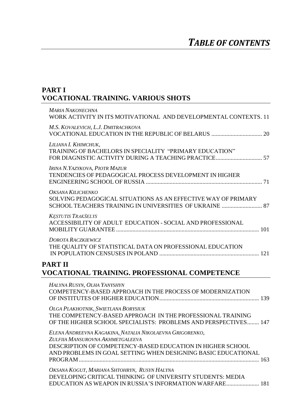### **PART I VOCATIONAL TRAINING. VARIOUS SHOTS**

| <b>MARIA NAKONECHNA</b><br>WORK ACTIVITY IN ITS MOTIVATIONAL AND DEVELOPMENTAL CONTEXTS. 11                                                                                                                                 |
|-----------------------------------------------------------------------------------------------------------------------------------------------------------------------------------------------------------------------------|
| M.S. KOVALEVICH, L.J. DMITRACHKOVA                                                                                                                                                                                          |
| LILIANA I. KHIMCHUK.<br>TRAINING OF BACHELORS IN SPECIALITY "PRIMARY EDUCATION"<br>FOR DIAGNISTIC ACTIVITY DURING A TEACHING PRACTICE 57                                                                                    |
| IRINA N.YAZYKOVA, PIOTR MAZUR<br>TENDENCIES OF PEDAGOGICAL PROCESS DEVELOPMENT IN HIGHER                                                                                                                                    |
| OKSANA KILICHENKO<br>SOLVING PEDAGOGICAL SITUATIONS AS AN EFFECTIVE WAY OF PRIMARY<br>SCHOOL TEACHERS TRAINING IN UNIVERSITIES OF UKRAINE  87                                                                               |
| <b>KESTUTIS TRAKŠELYS</b><br>ACCESSIBILITY OF ADULT EDUCATION - SOCIAL AND PROFESSIONAL                                                                                                                                     |
| <b>DOROTA RACZKIEWICZ</b><br>THE QUALITY OF STATISTICAL DATA ON PROFESSIONAL EDUCATION                                                                                                                                      |
| <b>PART II</b><br><b>VOCATIONAL TRAINING. PROFESSIONAL COMPETENCE</b>                                                                                                                                                       |
| HALYNA RUSYN, OLHA YANYSHYN<br>COMPETENCY-BASED APPROACH IN THE PROCESS OF MODERNIZATION                                                                                                                                    |
| OLGA PLAKHOTNIK, SWIETLANA BORYSIUK<br>THE COMPETENCY-BASED APPROACH IN THE PROFESSIONAL TRAINING<br>OF THE HIGHER SCHOOL SPECIALISTS: PROBLEMS AND PERSPECTIVES 147                                                        |
| ELENA ANDREEVNA KAGAKINA, NATALIA NIKOLAEVNA GRIGORENKO,<br>ZULFIIA MANSUROVNA AKHMETGALEEVA<br>DESCRIPTION OF COMPETENCY-BASED EDUCATION IN HIGHER SCHOOL<br>AND PROBLEMS IN GOAL SETTING WHEN DESIGNING BASIC EDUCATIONAL |

*OKSANA KOGUT, MARIANA SHTOHRYN, RUSYN HALYNA* DEVELOPING CRITICAL THINKING OF UNIVERSITY STUDENTS: MEDIA EDUCATION AS WEAPON IN RUSSIA'S INFORMATION WARFARE...................... 181